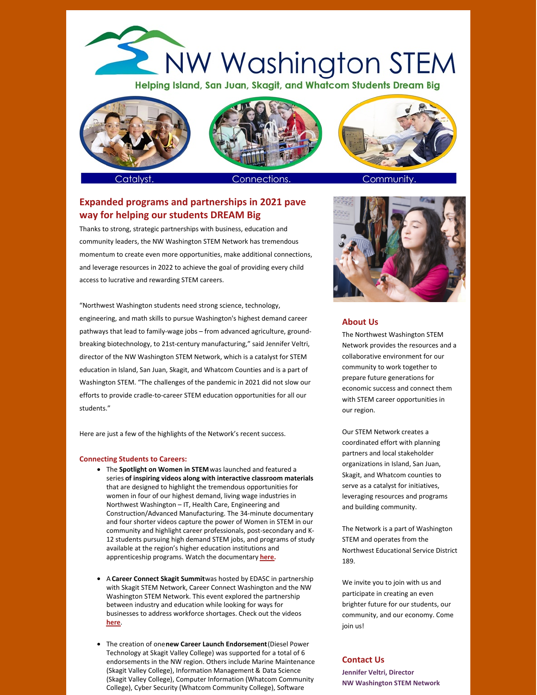# NW Washington STEM Helping Island, San Juan, Skagit, and Whatcom Students Dream Big



Catalvst



Community

# **Expanded programs and partnerships in 2021 pave way for helping our students DREAM Big**

Thanks to strong, strategic partnerships with business, education and community leaders, the NW Washington STEM Network has tremendous momentum to create even more opportunities, make additional connections, and leverage resources in 2022 to achieve the goal of providing every child access to lucrative and rewarding STEM careers.

"Northwest Washington students need strong science, technology, engineering, and math skills to pursue Washington's highest demand career pathways that lead to family-wage jobs – from advanced agriculture, groundbreaking biotechnology, to 21st-century manufacturing," said Jennifer Veltri, director of the NW Washington STEM Network, which is a catalyst for STEM education in Island, San Juan, Skagit, and Whatcom Counties and is a part of Washington STEM. "The challenges of the pandemic in 2021 did not slow our efforts to provide cradle-to-career STEM education opportunities for all our students."

Here are just a few of the highlights of the Network's recent success.

### **Connecting Students to Careers:**

- The **Spotlight on Women in STEM**was launched and featured a series **of inspiring videos along with interactive classroom materials** that are designed to highlight the tremendous opportunities for women in four of our highest demand, living wage industries in Northwest Washington – IT, Health Care, Engineering and Construction/Advanced Manufacturing. The 34-minute documentary and four shorter videos capture the power of Women in STEM in our community and highlight career professionals, post-secondary and K-12 students pursuing high demand STEM jobs, and programs of study available at the region's higher education institutions and apprenticeship programs. Watch the documentary **[here](https://www.youtube.com/watch?v=Rnwe2k1Y18o).**
- A **Career Connect Skagit Summit**was hosted by EDASC in partnership with Skagit STEM Network, Career Connect Washington and the NW Washington STEM Network. This event explored the partnership between industry and education while looking for ways for businesses to address workforce shortages. Check out the videos **[here](https://www.youtube.com/watch?v=znM_VSQnyac&list=PLadHWjMxYlUe6LAFVY4M2dM3e7XgmAs7X)**.
- The creation of one**new Career Launch Endorsement**(Diesel Power Technology at Skagit Valley College) was supported for a total of 6 endorsements in the NW region. Others include Marine Maintenance (Skagit Valley College), Information Management & Data Science (Skagit Valley College), Computer Information (Whatcom Community College), Cyber Security (Whatcom Community College), Software



### **About Us**

The Northwest Washington STEM Network provides the resources and a collaborative environment for our community to work together to prepare future generations for economic success and connect them with STEM career opportunities in our region.

Our STEM Network creates a coordinated effort with planning partners and local stakeholder organizations in Island, San Juan, Skagit, and Whatcom counties to serve as a catalyst for initiatives, leveraging resources and programs and building community.

The Network is a part of Washington STEM and operates from the Northwest Educational Service District 189.

We invite you to join with us and participate in creating an even brighter future for our students, our community, and our economy. Come join us!

# **Contact Us**

**Jennifer Veltri, Director NW Washington STEM Network**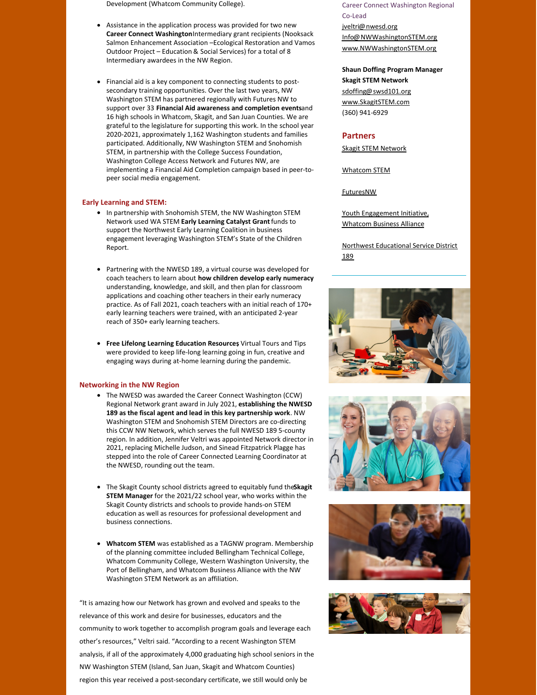Development (Whatcom Community College).

- Assistance in the application process was provided for two new **Career Connect Washington**Intermediary grant recipients (Nooksack Salmon Enhancement Association –Ecological Restoration and Vamos Outdoor Project – Education & Social Services) for a total of 8 Intermediary awardees in the NW Region.
- Financial aid is a key component to connecting students to postsecondary training opportunities. Over the last two years, NW Washington STEM has partnered regionally with Futures NW to support over 33 **Financial Aid awareness and completion events**and 16 high schools in Whatcom, Skagit, and San Juan Counties. We are grateful to the legislature for supporting this work. In the school year 2020-2021, approximately 1,162 Washington students and families participated. Additionally, NW Washington STEM and Snohomish STEM, in partnership with the College Success Foundation, Washington College Access Network and Futures NW, are implementing a Financial Aid Completion campaign based in peer-topeer social media engagement.

# **Early Learning and STEM:**

- In partnership with Snohomish STEM, the NW Washington STEM Network used WA STEM **Early Learning Catalyst Grant**funds to support the Northwest Early Learning Coalition in business engagement leveraging Washington STEM's State of the Children Report.
- Partnering with the NWESD 189, a virtual course was developed for coach teachers to learn about **how children develop early numeracy** understanding, knowledge, and skill, and then plan for classroom applications and coaching other teachers in their early numeracy practice. As of Fall 2021, coach teachers with an initial reach of 170+ early learning teachers were trained, with an anticipated 2-year reach of 350+ early learning teachers.
- **Free Lifelong Learning Education Resources**, Virtual Tours and Tips were provided to keep life-long learning going in fun, creative and engaging ways during at-home learning during the pandemic.

# **Networking in the NW Region**

- The NWESD was awarded the Career Connect Washington (CCW) Regional Network grant award in July 2021, **establishing the NWESD 189 as the fiscal agent and lead in this key partnership work**. NW Washington STEM and Snohomish STEM Directors are co-directing this CCW NW Network, which serves the full NWESD 189 5-county region. In addition, Jennifer Veltri was appointed Network director in 2021, replacing Michelle Judson, and Sinead Fitzpatrick Plagge has stepped into the role of Career Connected Learning Coordinator at the NWESD, rounding out the team.
- The Skagit County school districts agreed to equitably fund the**Skagit STEM Manager** for the 2021/22 school year, who works within the Skagit County districts and schools to provide hands-on STEM education as well as resources for professional development and business connections.
- **Whatcom STEM** was established as a TAGNW program. Membership of the planning committee included Bellingham Technical College, Whatcom Community College, Western Washington University, the Port of Bellingham, and Whatcom Business Alliance with the NW Washington STEM Network as an affiliation.

"It is amazing how our Network has grown and evolved and speaks to the relevance of this work and desire for businesses, educators and the community to work together to accomplish program goals and leverage each other's resources," Veltri said. "According to a recent Washington STEM analysis, if all of the approximately 4,000 graduating high school seniors in the NW Washington STEM (Island, San Juan, Skagit and Whatcom Counties) region this year received a post-secondary certificate, we still would only be

Career Connect Washington Regional Co-Lead

[jveltri@nwesd.org](mailto:jveltri@nwesd.org) [Info@NWWashingtonSTEM.org](mailto:Info@NWWashingtonSTEM.org) [www.NWWashingtonSTEM.org](http://www.nwwashingtonstem.org)

#### **Shaun Doffing Program Manager**

**Skagit STEM Network** [sdoffing@swsd101.org](mailto:sdoffing@swsd101.org) [www.SkagitSTEM.com](http://www.skagitstem.com) (360) 941-6929

#### **Partners**

Skagit STEM [Network](http://www.skagitstem.com/)

[Whatcom](https://www.tagnw.org/stem/) STEM

[FuturesNW](https://www.futuresnw.org/)

Youth [Engagement](https://yeswhatcom.com/about/) Initiative, [Whatcom](https://yeswhatcom.com/about/) Business Alliance

Northwest [Educational](https://www.nwesd.org/) Service District 189